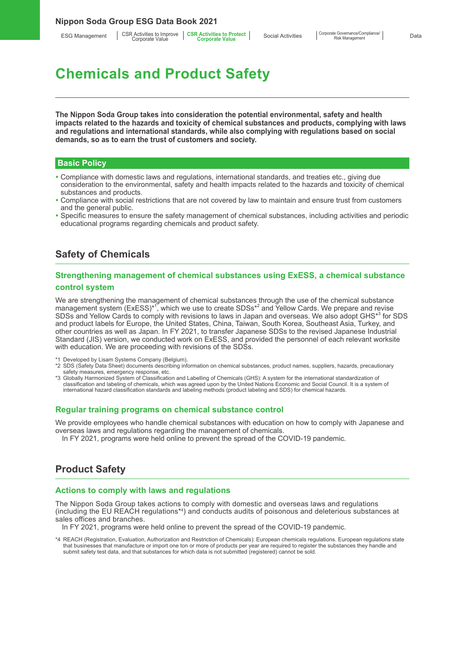ESG Management | CSR Activities to Improve | CSR Activities to Protect<br>Corporate Value **Corporate Corporate Value** 

## **Chemicals and Product Safety**

**The Nippon Soda Group takes into consideration the potential environmental, safety and health impacts related to the hazards and toxicity of chemical substances and products, complying with laws and regulations and international standards, while also complying with regulations based on social demands, so as to earn the trust of customers and society.**

#### **Basic Policy**

- Compliance with domestic laws and regulations, international standards, and treaties etc., giving due consideration to the environmental, safety and health impacts related to the hazards and toxicity of chemical substances and products.
- Compliance with social restrictions that are not covered by law to maintain and ensure trust from customers and the general public.
- Specific measures to ensure the safety management of chemical substances, including activities and periodic educational programs regarding chemicals and product safety.

#### **Safety of Chemicals**

#### **Strengthening management of chemical substances using ExESS, a chemical substance control system**

We are strengthening the management of chemical substances through the use of the chemical substance management system (ExESS)\*<sup>1</sup>, which we use to create SDSs<sup>\*2</sup> and Yellow Cards. We prepare and revise SDSs and Yellow Cards to comply with revisions to laws in Japan and overseas. We also adopt GHS<sup>\*3</sup> for SDS and product labels for Europe, the United States, China, Taiwan, South Korea, Southeast Asia, Turkey, and other countries as well as Japan. In FY 2021, to transfer Japanese SDSs to the revised Japanese Industrial Standard (JIS) version, we conducted work on ExESS, and provided the personnel of each relevant worksite with education. We are proceeding with revisions of the SDSs.

- 1 Developed by Lisam Systems Company (Belgium).
- \*2 SDS (Safety Data Sheet) documents describing information on chemical substances, product names, suppliers, hazards, precautionary safety measures, emergency response, etc.
- \*3 Globally Harmonized System of Classification and Labelling of Chemicals (GHS): A system for the international standardization of classification and labeling of chemicals, which was agreed upon by the United Nations Economic and Social Council. It is a system of international hazard classification standards and labeling methods (product labeling and SDS) for chemical hazards.

#### **Regular training programs on chemical substance control**

We provide employees who handle chemical substances with education on how to comply with Japanese and overseas laws and regulations regarding the management of chemicals.

In FY 2021, programs were held online to prevent the spread of the COVID-19 pandemic.

#### **Product Safety**

#### **Actions to comply with laws and regulations**

The Nippon Soda Group takes actions to comply with domestic and overseas laws and regulations (including the EU REACH regulations\*4 ) and conducts audits of poisonous and deleterious substances at sales offices and branches.

In FY 2021, programs were held online to prevent the spread of the COVID-19 pandemic.

\*4 REACH (Registration, Evaluation, Authorization and Restriction of Chemicals): European chemicals regulations. European regulations state that businesses that manufacture or import one ton or more of products per year are required to register the substances they handle and submit safety test data, and that substances for which data is not submitted (registered) cannot be sold.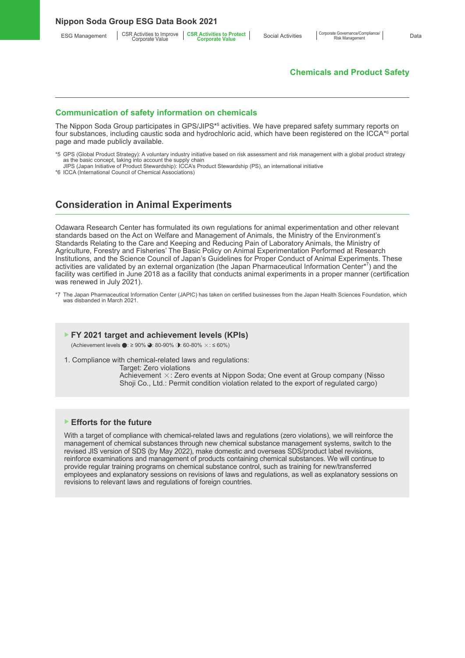**Nippon Soda Group ESG Data Book 2021**

ESG Management | CSR Activities to Improve | CSR Activities to Protect<br>Corporate Value **Corporate Corporate Value** 

#### **Chemicals and Product Safety**

#### **Communication of safety information on chemicals**

The Nippon Soda Group participates in GPS/JIPS\*5 activities. We have prepared safety summary reports on four substances, including caustic soda and hydrochloric acid, which have been registered on the ICCA\*<sup>6</sup> portal page and made publicly available.

- \*5 GPS (Global Product Strategy): A voluntary industry initiative based on risk assessment and risk management with a global product strategy as the basic concept, taking into account the supply chain
- JIPS (Japan Initiative of Product Stewardship): ICCA's Product Stewardship (PS), an international initiative \*6 ICCA (International Council of Chemical Associations)

# **Consideration in Animal Experiments**

Odawara Research Center has formulated its own regulations for animal experimentation and other relevant standards based on the Act on Welfare and Management of Animals, the Ministry of the Environment's Standards Relating to the Care and Keeping and Reducing Pain of Laboratory Animals, the Ministry of Agriculture, Forestry and Fisheries' The Basic Policy on Animal Experimentation Performed at Research Institutions, and the Science Council of Japan's Guidelines for Proper Conduct of Animal Experiments. These activities are validated by an external organization (the Japan Pharmaceutical Information Center\*<sup>7</sup>) and the facility was certified in June 2018 as a facility that conducts animal experiments in a proper manner (certification was renewed in July 2021).

\*7 The Japan Pharmaceutical Information Center (JAPIC) has taken on certified businesses from the Japan Health Sciences Foundation, which was disbanded in March 2021.

#### ▶ **FY 2021 target and achievement levels (KPIs)**

(Achievement levels ●: ≥ 90% ●: 80-90% ●: 60-80%  $\times$ : ≤ 60%)

1. Compliance with chemical-related laws and regulations:

Target: Zero violations Achievement ×: Zero events at Nippon Soda; One event at Group company (Nisso Shoji Co., Ltd.: Permit condition violation related to the export of regulated cargo)

#### ▶ **Efforts for the future**

With a target of compliance with chemical-related laws and regulations (zero violations), we will reinforce the management of chemical substances through new chemical substance management systems, switch to the revised JIS version of SDS (by May 2022), make domestic and overseas SDS/product label revisions, reinforce examinations and management of products containing chemical substances. We will continue to provide regular training programs on chemical substance control, such as training for new/transferred employees and explanatory sessions on revisions of laws and regulations, as well as explanatory sessions on revisions to relevant laws and regulations of foreign countries.